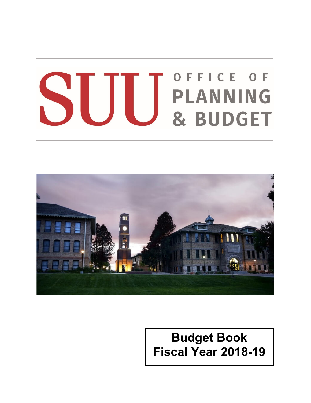## OFFICE OF S H **PLANNING** & BUDGET



## **Budget Book Fiscal Year 2018-19**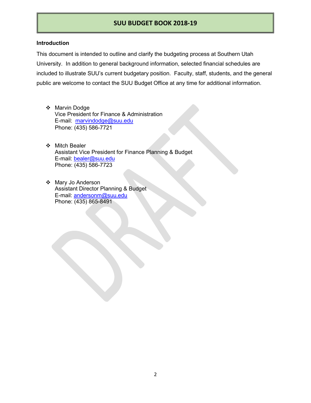#### **Introduction**

This document is intended to outline and clarify the budgeting process at Southern Utah University. In addition to general background information, selected financial schedules are included to illustrate SUU's current budgetary position. Faculty, staff, students, and the general public are welcome to contact the SUU Budget Office at any time for additional information.

- ❖ Marvin Dodge Vice President for Finance & Administration E-mail: [marvindodge@suu.edu](mailto:marvindodge@suu.edu) Phone: (435) 586-7721
- ❖ Mitch Bealer Assistant Vice President for Finance Planning & Budget E-mail: [bealer@suu.edu](mailto:bealer@suu.edu) Phone: (435) 586-7723
- Mary Jo Anderson Assistant Director Planning & Budget E-mail: [andersonm@suu.edu](mailto:andersonm@suu.edu) Phone: (435) 865-8491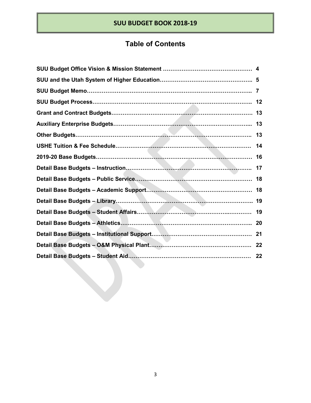## **Table of Contents**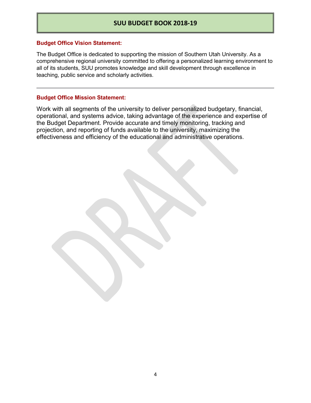#### **Budget Office Vision Statement:**

The Budget Office is dedicated to supporting the mission of Southern Utah University. As a comprehensive regional university committed to offering a personalized learning environment to all of its students, SUU promotes knowledge and skill development through excellence in teaching, public service and scholarly activities.

#### **Budget Office Mission Statement:**

Work with all segments of the university to deliver personalized budgetary, financial, operational, and systems advice, taking advantage of the experience and expertise of the Budget Department. Provide accurate and timely monitoring, tracking and projection, and reporting of funds available to the university, maximizing the effectiveness and efficiency of the educational and administrative operations.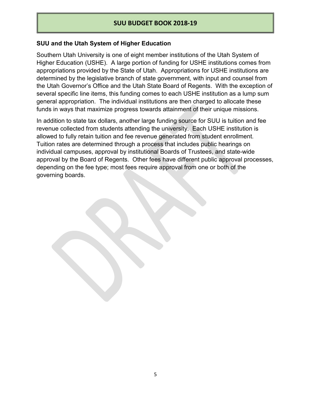#### **SUU and the Utah System of Higher Education**

Southern Utah University is one of eight member institutions of the Utah System of Higher Education (USHE). A large portion of funding for USHE institutions comes from appropriations provided by the State of Utah. Appropriations for USHE institutions are determined by the legislative branch of state government, with input and counsel from the Utah Governor's Office and the Utah State Board of Regents. With the exception of several specific line items, this funding comes to each USHE institution as a lump sum general appropriation. The individual institutions are then charged to allocate these funds in ways that maximize progress towards attainment of their unique missions.

In addition to state tax dollars, another large funding source for SUU is tuition and fee revenue collected from students attending the university. Each USHE institution is allowed to fully retain tuition and fee revenue generated from student enrollment. Tuition rates are determined through a process that includes public hearings on individual campuses, approval by institutional Boards of Trustees, and state-wide approval by the Board of Regents. Other fees have different public approval processes, depending on the fee type; most fees require approval from one or both of the governing boards.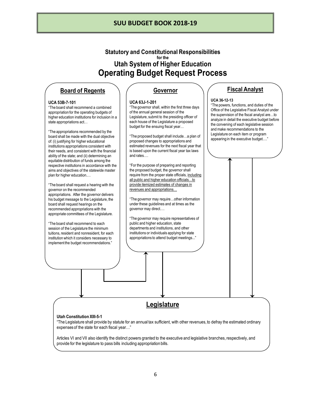**Statutory and Constitutional Responsibilities for the Utah System of Higher Education Operating Budget Request Process**

#### **Board of Regents**

#### **UCA 53B-7-101**

"The board shall recommend a combined appropriation for the operating budgets of higher education institutions for inclusion in a state appropriations act…

"The appropriations recommended by the board shall be made with the dual objective of: (i) justifying for higher educational institutions appropriations consistent with their needs, and consistent with the financial ability of the state; and (ii) determining an equitable distribution of funds among the respective institutions in accordance with the aims and objectives of the statewide master plan for higher education.…

"The board shall request a hearing with the governor on the recommended appropriations. After the governor delivers his budget message to the Legislature, the board shall request hearings on the recommended appropriations with the appropriate committees of the Legislature.

"The board shall recommend to each session of the Legislature the minimum tuitions, resident and nonresident, for each institution which it considers necessary to implement the budget recommendations."

#### **Governor**

#### **UCA 63J-1-201**

"The governor shall, within the first three days of the annual general session of the Legislature, submit to the presiding officer of each house of the Legislature a proposed budget for the ensuing fiscal year…

"The proposed budget shall include…a plan of proposed changes to appropriations and estimated revenues for the next fiscal year that is based upon the current fiscal year tax laws and rates….

"For the purpose of preparing and reporting the proposed budget, the governor shall require from the proper state officials, including all public and higher education officials…to provide itemized estimates of changes in revenues and appropriations…

"The governor may require…other information under these guidelines and at times as the governor may direct….

"The governor may require representatives of public and higher education, state departments and institutions, and other institutions or individuals applying for state appropriations to attend budget meetings..."

#### **Fiscal Analyst**

#### **UCA 36-12-13**

"The powers, functions, and duties of the Office of the Legislative Fiscal Analyst under the supervision of the fiscal analyst are…to analyze in detail the executive budget before the convening of each legislative session and make recommendations to the Legislature on each item or program appearing in the executive budget…."

## **Legislature**

#### **Utah Constitution XIII-5-1**

"The Legislature shall provide by statute for an annual tax sufficient, with other revenues, to defray the estimated ordinary expenses of the state for each fiscal year…"

Articles VI and VII also identify the distinct powers granted to the executive and legislative branches, respectively, and provide for the legislature to pass bills including appropriation bills.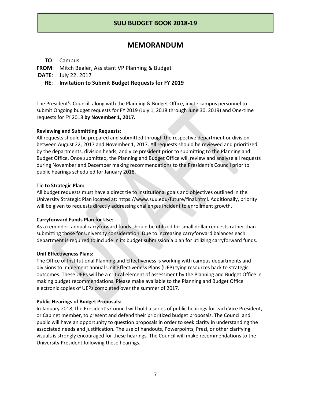#### **MEMORANDUM**

**TO**: Campus

**FROM**: Mitch Bealer, Assistant VP Planning & Budget

**DATE**: July 22, 2017

**RE**: **Invitation to Submit Budget Requests for FY 2019** 

The President's Council, along with the Planning & Budget Office, invite campus personnel to submit Ongoing budget requests for FY 2019 (July 1, 2018 through June 30, 2019) and One-time requests for FY 2018 **by November 1, 2017.** 

#### **Reviewing and Submitting Requests:**

All requests should be prepared and submitted through the respective department or division between August 22, 2017 and November 1, 2017. All requests should be reviewed and prioritized by the departments, division heads, and vice president prior to submitting to the Planning and Budget Office. Once submitted, the Planning and Budget Office will review and analyze all requests during November and December making recommendations to the President's Council prior to public hearings scheduled for January 2018.

#### **Tie to Strategic Plan:**

All budget requests must have a direct tie to institutional goals and objectives outlined in the University Strategic Plan located at: https://www.suu.edu/future/final.html. Additionally, priority will be given to requests directly addressing challenges incident to enrollment growth.

#### **Carryforward Funds Plan for Use:**

As a reminder, annual carryforward funds should be utilized for small dollar requests rather than submitting those for University consideration. Due to increasing carryforward balances each department is required to include in its budget submission a plan for utilizing carryforward funds.

#### **Unit Effectiveness Plans:**

The Office of Institutional Planning and Effectiveness is working with campus departments and divisions to implement annual Unit Effectiveness Plans (UEP) tying resources back to strategic outcomes. These UEPs will be a critical element of assessment by the Planning and Budget Office in making budget recommendations. Please make available to the Planning and Budget Office electronic copies of UEPs completed over the summer of 2017.

#### **Public Hearings of Budget Proposals:**

In January 2018, the President's Council will hold a series of public hearings for each Vice President, or Cabinet member, to present and defend their prioritized budget proposals. The Council and public will have an opportunity to question proposals in order to seek clarity in understanding the associated needs and justification. The use of handouts, Powerpoints, Prezi, or other clarifying visuals is strongly encouraged for these hearings. The Council will make recommendations to the University President following these hearings.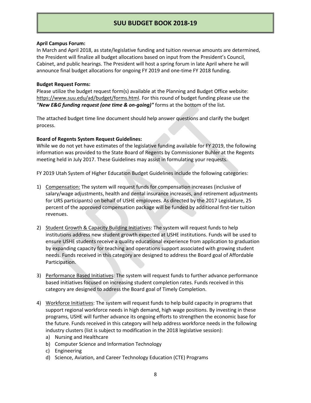#### **April Campus Forum:**

In March and April 2018, as state/legislative funding and tuition revenue amounts are determined, the President will finalize all budget allocations based on input from the President's Council, Cabinet, and public hearings. The President will host a spring forum in late April where he will announce final budget allocations for ongoing FY 2019 and one-time FY 2018 funding.

#### **Budget Request Forms:**

Please utilize the budget request form(s) available at the Planning and Budget Office website: https://www.suu.edu/ad/budget/forms.html. For this round of budget funding please use the *"New E&G funding request (one time & on-going)"* forms at the bottom of the list.

The attached budget time line document should help answer questions and clarify the budget process.

#### **Board of Regents System Request Guidelines:**

While we do not yet have estimates of the legislative funding available for FY 2019, the following information was provided to the State Board of Regents by Commissioner Buhler at the Regents meeting held in July 2017. These Guidelines may assist in formulating your requests.

FY 2019 Utah System of Higher Education Budget Guidelines include the following categories:

- 1) Compensation: The system will request funds for compensation increases (inclusive of salary/wage adjustments, health and dental insurance increases, and retirement adjustments for URS participants) on behalf of USHE employees. As directed by the 2017 Legislature, 25 percent of the approved compensation package will be funded by additional first-tier tuition revenues.
- 2) Student Growth & Capacity Building Initiatives: The system will request funds to help institutions address new student growth expected at USHE institutions. Funds will be used to ensure USHE students receive a quality educational experience from application to graduation by expanding capacity for teaching and operations support associated with growing student needs. Funds received in this category are designed to address the Board goal of Affordable Participation.
- 3) Performance Based Initiatives: The system will request funds to further advance performance based initiatives focused on increasing student completion rates. Funds received in this category are designed to address the Board goal of Timely Completion.
- 4) Workforce Initiatives: The system will request funds to help build capacity in programs that support regional workforce needs in high demand, high wage positions. By investing in these programs, USHE will further advance its ongoing efforts to strengthen the economic base for the future. Funds received in this category will help address workforce needs in the following industry clusters (list is subject to modification in the 2018 legislative session):
	- a) Nursing and Healthcare
	- b) Computer Science and Information Technology
	- c) Engineering
	- d) Science, Aviation, and Career Technology Education (CTE) Programs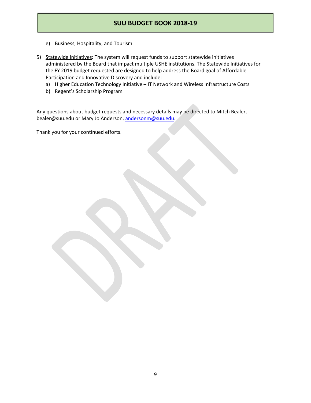- e) Business, Hospitality, and Tourism
- 5) Statewide Initiatives: The system will request funds to support statewide initiatives administered by the Board that impact multiple USHE institutions. The Statewide Initiatives for the FY 2019 budget requested are designed to help address the Board goal of Affordable Participation and Innovative Discovery and include:
	- a) Higher Education Technology Initiative IT Network and Wireless Infrastructure Costs
	- b) Regent's Scholarship Program

Any questions about budget requests and necessary details may be directed to Mitch Bealer, bealer@suu.edu or Mary Jo Anderson[, andersonm@suu.edu.](mailto:andersonm@suu.edu)

Thank you for your continued efforts.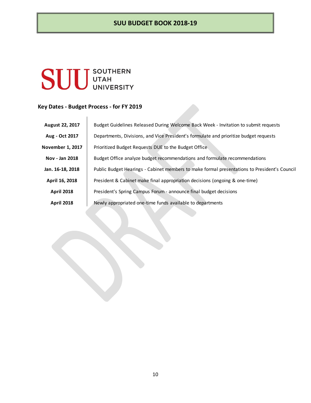# **SUU** UTAH

#### **Key Dates - Budget Process - for FY 2019**

| August 22, 2017         | Budget Guidelines Released During Welcome Back Week - Invitation to submit requests          |
|-------------------------|----------------------------------------------------------------------------------------------|
| Aug - Oct 2017          | Departments, Divisions, and Vice President's formulate and prioritize budget requests        |
| <b>November 1, 2017</b> | Prioritized Budget Requests DUE to the Budget Office                                         |
| Nov - Jan 2018          | Budget Office analyze budget recommendations and formulate recommendations                   |
| Jan. 16-18, 2018        | Public Budget Hearings - Cabinet members to make formal presentations to President's Council |
| April 16, 2018          | President & Cabinet make final appropriation decisions (ongoing & one-time)                  |
| <b>April 2018</b>       | President's Spring Campus Forum - announce final budget decisions                            |
| <b>April 2018</b>       | Newly appropriated one-time funds available to departments                                   |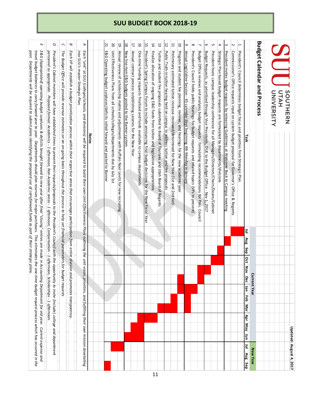| $\mathop{\rm SU}(\mathop{\rm U}_{\rm UAT}^{\rm SUNHERI}$<br>Public Truth-in-tuition hearing held on campus to address tuition and fee proposals<br>Unit Effectiveness Plans from all schools/colleges/departments due by July 1st<br>New line-item E&G budgets posted to the Banner system<br>Finalize allocation of ongoing E&G funds from tuition and legislative appropriations<br>Tuition and student fee proposals submitted to Board of Trustees and Utah Board of Regents<br>President's Council holds public hearings for budget requests and related topics (VPs to present)<br>President hosts campus leadership conference for all Managers/Directors/Chairs/Deans/Cabinet<br>travel budget balances to carry forward year to year. Departments should plan reserves for major purchases. This eliminates the one-time budget request process which has occurred in the<br>E&G (Appropriated) operating budget surpluses & deficits brought forward to new year after final "closing" entries are made in Accounting Department for old year. Current expense and<br>E&G Operating budget surpluses/deficits rolled forward and posted to Banner<br>President's Spring Campus Forum to include announcing final budget decisions for the New Fiscal Year<br>Preliminary estimated tuition increase reviewed/determined for New Year (1st and 2nd tier)<br>Program and student fee planning, reviews, and hearings for the new academic year<br>Budget Office reviews and analyzes budget requests - formulating recommendations for Pres. Council<br>Budget Requests, as prioritized through Vice Presidents, DUE to the Budget Office - Nov 1, 2017<br>Strategic Plan based budget requests are formulated by departments/divisions<br>President invites budget requests by releasing Guidelines at Welcome Back to Campus meeting<br>President's Council determines budget focus and priorities from Strategic Plan<br>past. Departments will be required to submit plans identifying the proposed use of carryforward funds as part of their strategic p<br>President's Cabinet members will have established times to present their requests/proposals to the President's Council with the opportunity to invite (include) college and department<br>Each VP will establish a budget prioritization process within their respective areas that encourages participation from entire division and promotes transparency<br>Each "unit" at SUU (colleges/schools, and divisions) will be required to build their own Unit Effectiveness Plans outlining the unit<br>Annual review of scholarship matrix and adjustments with Ruffalo Noel Levitz for new recruiting<br>Annual contract process establishing salaries for the New Year<br>One-time funding requests finalized and funds available to campus departments<br>Annual Legislative Session - 45 calendar days beginning 4th Monday in January<br>Commissioner's Office requests input on system budget proposal for Govemor's Office & Regents<br>personnel as appropriate. Proposed format: Academics - 1 afternoon, Non-Academic areas - 1 afternoon, Compensation - 1 afternoon, Scholarships - 1 afternoon.<br>The Budget Office will provide revenue estimates on an on-going basis throughout the process to help set financial parameters for budget requests<br>into SUU's master Strategic Plan.<br><b>Notes</b><br>Task<br>Ξ<br>Aug<br>Sep<br><b>Oct</b><br><i>Mans</i> .<br>vision, priorities, and fulfilling their own mission dovetailing<br>Nov Dec<br><b>Current Year</b><br>Jan Feb<br>Mar<br>Apr May Jun<br>Updated: August 4, 2017<br>Jul Aug Sep<br><b>New Year</b> | F | O | C | ø | ⊅ |  | 21 | 20 | 5 | 18 | 17 | 5 | Ω, | 14 | β | $\overline{5}$ | 11 | 5 | 6 | $\infty$ | ┙ | $\sigma$ | S | 4 | $\boldsymbol{\omega}$ | $\sim$ | $\mapsto$ |  |                                    |  |  |
|----------------------------------------------------------------------------------------------------------------------------------------------------------------------------------------------------------------------------------------------------------------------------------------------------------------------------------------------------------------------------------------------------------------------------------------------------------------------------------------------------------------------------------------------------------------------------------------------------------------------------------------------------------------------------------------------------------------------------------------------------------------------------------------------------------------------------------------------------------------------------------------------------------------------------------------------------------------------------------------------------------------------------------------------------------------------------------------------------------------------------------------------------------------------------------------------------------------------------------------------------------------------------------------------------------------------------------------------------------------------------------------------------------------------------------------------------------------------------------------------------------------------------------------------------------------------------------------------------------------------------------------------------------------------------------------------------------------------------------------------------------------------------------------------------------------------------------------------------------------------------------------------------------------------------------------------------------------------------------------------------------------------------------------------------------------------------------------------------------------------------------------------------------------------------------------------------------------------------------------------------------------------------------------------------------------------------------------------------------------------------------------------------------------------------------------------------------------------------------------------------------------------------------------------------------------------------------------------------------------------------------------------------------------------------------------------------------------------------------------------------------------------------------------------------------------------------------------------------------------------------------------------------------------------------------------------------------------------------------------------------------------------------------------------------------------------------------------------------------------------------------------------------------------------------------------------------------------------------------------------------------------------------------------------------------------------------------------------------------------------------------------------------------------------------------------------------------------------------------------------------------------------------------------------------------------------------------------------------------------------------------------------------------------|---|---|---|---|---|--|----|----|---|----|----|---|----|----|---|----------------|----|---|---|----------|---|----------|---|---|-----------------------|--------|-----------|--|------------------------------------|--|--|
|                                                                                                                                                                                                                                                                                                                                                                                                                                                                                                                                                                                                                                                                                                                                                                                                                                                                                                                                                                                                                                                                                                                                                                                                                                                                                                                                                                                                                                                                                                                                                                                                                                                                                                                                                                                                                                                                                                                                                                                                                                                                                                                                                                                                                                                                                                                                                                                                                                                                                                                                                                                                                                                                                                                                                                                                                                                                                                                                                                                                                                                                                                                                                                                                                                                                                                                                                                                                                                                                                                                                                                                                                                                                |   |   |   |   |   |  |    |    |   |    |    |   |    |    |   |                |    |   |   |          |   |          |   |   |                       |        |           |  | <b>Budget Calendar and Process</b> |  |  |
|                                                                                                                                                                                                                                                                                                                                                                                                                                                                                                                                                                                                                                                                                                                                                                                                                                                                                                                                                                                                                                                                                                                                                                                                                                                                                                                                                                                                                                                                                                                                                                                                                                                                                                                                                                                                                                                                                                                                                                                                                                                                                                                                                                                                                                                                                                                                                                                                                                                                                                                                                                                                                                                                                                                                                                                                                                                                                                                                                                                                                                                                                                                                                                                                                                                                                                                                                                                                                                                                                                                                                                                                                                                                |   |   |   |   |   |  |    |    |   |    |    |   |    |    |   |                |    |   |   |          |   |          |   |   |                       |        |           |  |                                    |  |  |
|                                                                                                                                                                                                                                                                                                                                                                                                                                                                                                                                                                                                                                                                                                                                                                                                                                                                                                                                                                                                                                                                                                                                                                                                                                                                                                                                                                                                                                                                                                                                                                                                                                                                                                                                                                                                                                                                                                                                                                                                                                                                                                                                                                                                                                                                                                                                                                                                                                                                                                                                                                                                                                                                                                                                                                                                                                                                                                                                                                                                                                                                                                                                                                                                                                                                                                                                                                                                                                                                                                                                                                                                                                                                |   |   |   |   |   |  |    |    |   |    |    |   |    |    |   |                |    |   |   |          |   |          |   |   |                       |        |           |  |                                    |  |  |
|                                                                                                                                                                                                                                                                                                                                                                                                                                                                                                                                                                                                                                                                                                                                                                                                                                                                                                                                                                                                                                                                                                                                                                                                                                                                                                                                                                                                                                                                                                                                                                                                                                                                                                                                                                                                                                                                                                                                                                                                                                                                                                                                                                                                                                                                                                                                                                                                                                                                                                                                                                                                                                                                                                                                                                                                                                                                                                                                                                                                                                                                                                                                                                                                                                                                                                                                                                                                                                                                                                                                                                                                                                                                |   |   |   |   |   |  |    |    |   |    |    |   |    |    |   |                |    |   |   |          |   |          |   |   |                       |        |           |  |                                    |  |  |
|                                                                                                                                                                                                                                                                                                                                                                                                                                                                                                                                                                                                                                                                                                                                                                                                                                                                                                                                                                                                                                                                                                                                                                                                                                                                                                                                                                                                                                                                                                                                                                                                                                                                                                                                                                                                                                                                                                                                                                                                                                                                                                                                                                                                                                                                                                                                                                                                                                                                                                                                                                                                                                                                                                                                                                                                                                                                                                                                                                                                                                                                                                                                                                                                                                                                                                                                                                                                                                                                                                                                                                                                                                                                |   |   |   |   |   |  |    |    |   |    |    |   |    |    |   |                |    |   |   |          |   |          |   |   |                       |        |           |  |                                    |  |  |
|                                                                                                                                                                                                                                                                                                                                                                                                                                                                                                                                                                                                                                                                                                                                                                                                                                                                                                                                                                                                                                                                                                                                                                                                                                                                                                                                                                                                                                                                                                                                                                                                                                                                                                                                                                                                                                                                                                                                                                                                                                                                                                                                                                                                                                                                                                                                                                                                                                                                                                                                                                                                                                                                                                                                                                                                                                                                                                                                                                                                                                                                                                                                                                                                                                                                                                                                                                                                                                                                                                                                                                                                                                                                |   |   |   |   |   |  |    |    |   |    |    |   |    |    |   |                |    |   |   |          |   |          |   |   |                       |        |           |  |                                    |  |  |
|                                                                                                                                                                                                                                                                                                                                                                                                                                                                                                                                                                                                                                                                                                                                                                                                                                                                                                                                                                                                                                                                                                                                                                                                                                                                                                                                                                                                                                                                                                                                                                                                                                                                                                                                                                                                                                                                                                                                                                                                                                                                                                                                                                                                                                                                                                                                                                                                                                                                                                                                                                                                                                                                                                                                                                                                                                                                                                                                                                                                                                                                                                                                                                                                                                                                                                                                                                                                                                                                                                                                                                                                                                                                |   |   |   |   |   |  |    |    |   |    |    |   |    |    |   |                |    |   |   |          |   |          |   |   |                       |        |           |  |                                    |  |  |
|                                                                                                                                                                                                                                                                                                                                                                                                                                                                                                                                                                                                                                                                                                                                                                                                                                                                                                                                                                                                                                                                                                                                                                                                                                                                                                                                                                                                                                                                                                                                                                                                                                                                                                                                                                                                                                                                                                                                                                                                                                                                                                                                                                                                                                                                                                                                                                                                                                                                                                                                                                                                                                                                                                                                                                                                                                                                                                                                                                                                                                                                                                                                                                                                                                                                                                                                                                                                                                                                                                                                                                                                                                                                |   |   |   |   |   |  |    |    |   |    |    |   |    |    |   |                |    |   |   |          |   |          |   |   |                       |        |           |  |                                    |  |  |
|                                                                                                                                                                                                                                                                                                                                                                                                                                                                                                                                                                                                                                                                                                                                                                                                                                                                                                                                                                                                                                                                                                                                                                                                                                                                                                                                                                                                                                                                                                                                                                                                                                                                                                                                                                                                                                                                                                                                                                                                                                                                                                                                                                                                                                                                                                                                                                                                                                                                                                                                                                                                                                                                                                                                                                                                                                                                                                                                                                                                                                                                                                                                                                                                                                                                                                                                                                                                                                                                                                                                                                                                                                                                |   |   |   |   |   |  |    |    |   |    |    |   |    |    |   |                |    |   |   |          |   |          |   |   |                       |        |           |  |                                    |  |  |
|                                                                                                                                                                                                                                                                                                                                                                                                                                                                                                                                                                                                                                                                                                                                                                                                                                                                                                                                                                                                                                                                                                                                                                                                                                                                                                                                                                                                                                                                                                                                                                                                                                                                                                                                                                                                                                                                                                                                                                                                                                                                                                                                                                                                                                                                                                                                                                                                                                                                                                                                                                                                                                                                                                                                                                                                                                                                                                                                                                                                                                                                                                                                                                                                                                                                                                                                                                                                                                                                                                                                                                                                                                                                |   |   |   |   |   |  |    |    |   |    |    |   |    |    |   |                |    |   |   |          |   |          |   |   |                       |        |           |  |                                    |  |  |
|                                                                                                                                                                                                                                                                                                                                                                                                                                                                                                                                                                                                                                                                                                                                                                                                                                                                                                                                                                                                                                                                                                                                                                                                                                                                                                                                                                                                                                                                                                                                                                                                                                                                                                                                                                                                                                                                                                                                                                                                                                                                                                                                                                                                                                                                                                                                                                                                                                                                                                                                                                                                                                                                                                                                                                                                                                                                                                                                                                                                                                                                                                                                                                                                                                                                                                                                                                                                                                                                                                                                                                                                                                                                |   |   |   |   |   |  |    |    |   |    |    |   |    |    |   |                |    |   |   |          |   |          |   |   |                       |        |           |  |                                    |  |  |
|                                                                                                                                                                                                                                                                                                                                                                                                                                                                                                                                                                                                                                                                                                                                                                                                                                                                                                                                                                                                                                                                                                                                                                                                                                                                                                                                                                                                                                                                                                                                                                                                                                                                                                                                                                                                                                                                                                                                                                                                                                                                                                                                                                                                                                                                                                                                                                                                                                                                                                                                                                                                                                                                                                                                                                                                                                                                                                                                                                                                                                                                                                                                                                                                                                                                                                                                                                                                                                                                                                                                                                                                                                                                |   |   |   |   |   |  |    |    |   |    |    |   |    |    |   |                |    |   |   |          |   |          |   |   |                       |        |           |  |                                    |  |  |
|                                                                                                                                                                                                                                                                                                                                                                                                                                                                                                                                                                                                                                                                                                                                                                                                                                                                                                                                                                                                                                                                                                                                                                                                                                                                                                                                                                                                                                                                                                                                                                                                                                                                                                                                                                                                                                                                                                                                                                                                                                                                                                                                                                                                                                                                                                                                                                                                                                                                                                                                                                                                                                                                                                                                                                                                                                                                                                                                                                                                                                                                                                                                                                                                                                                                                                                                                                                                                                                                                                                                                                                                                                                                |   |   |   |   |   |  |    |    |   |    |    |   |    |    |   |                |    |   |   |          |   |          |   |   |                       |        |           |  |                                    |  |  |
|                                                                                                                                                                                                                                                                                                                                                                                                                                                                                                                                                                                                                                                                                                                                                                                                                                                                                                                                                                                                                                                                                                                                                                                                                                                                                                                                                                                                                                                                                                                                                                                                                                                                                                                                                                                                                                                                                                                                                                                                                                                                                                                                                                                                                                                                                                                                                                                                                                                                                                                                                                                                                                                                                                                                                                                                                                                                                                                                                                                                                                                                                                                                                                                                                                                                                                                                                                                                                                                                                                                                                                                                                                                                |   |   |   |   |   |  |    |    |   |    |    |   |    |    |   |                |    |   |   |          |   |          |   |   |                       |        |           |  |                                    |  |  |
|                                                                                                                                                                                                                                                                                                                                                                                                                                                                                                                                                                                                                                                                                                                                                                                                                                                                                                                                                                                                                                                                                                                                                                                                                                                                                                                                                                                                                                                                                                                                                                                                                                                                                                                                                                                                                                                                                                                                                                                                                                                                                                                                                                                                                                                                                                                                                                                                                                                                                                                                                                                                                                                                                                                                                                                                                                                                                                                                                                                                                                                                                                                                                                                                                                                                                                                                                                                                                                                                                                                                                                                                                                                                |   |   |   |   |   |  |    |    |   |    |    |   |    |    |   |                |    |   |   |          |   |          |   |   |                       |        |           |  |                                    |  |  |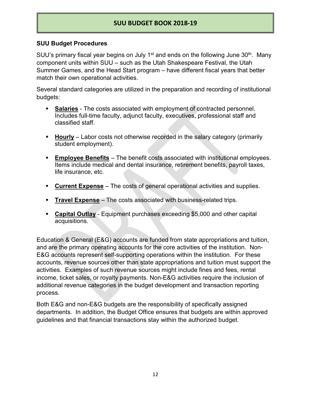#### **SUU Budget Procedures**

SUU's primary fiscal year begins on July 1<sup>st</sup> and ends on the following June  $30<sup>th</sup>$ . Many component units within SUU – such as the Utah Shakespeare Festival, the Utah Summer Games, and the Head Start program – have different fiscal years that better match their own operational activities.

Several standard categories are utilized in the preparation and recording of institutional budgets:

- **Salaries** The costs associated with employment of contracted personnel. Includes full-time faculty, adjunct faculty, executives, professional staff and classified staff.
- **Hourly** Labor costs not otherwise recorded in the salary category (primarily student employment).
- **Employee Benefits** The benefit costs associated with institutional employees. Items include medical and dental insurance, retirement benefits, payroll taxes, life insurance, etc.
- **Current Expense** The costs of general operational activities and supplies.
- **Travel Expense** The costs associated with business-related trips.
- **Capital Outlay** Equipment purchases exceeding \$5,000 and other capital acquisitions.

Education & General (E&G) accounts are funded from state appropriations and tuition, and are the primary operating accounts for the core activities of the institution. Non-E&G accounts represent self-supporting operations within the institution. For these accounts, revenue sources other than state appropriations and tuition must support the activities. Examples of such revenue sources might include fines and fees, rental income, ticket sales, or royalty payments. Non-E&G activities require the inclusion of additional revenue categories in the budget development and transaction reporting process.

Both E&G and non-E&G budgets are the responsibility of specifically assigned departments. In addition, the Budget Office ensures that budgets are within approved guidelines and that financial transactions stay within the authorized budget.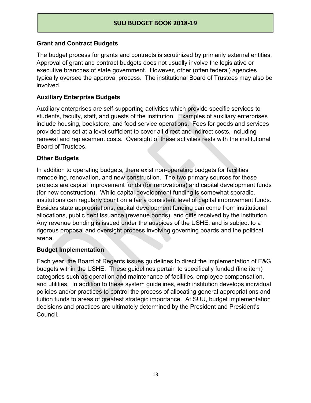#### **Grant and Contract Budgets**

The budget process for grants and contracts is scrutinized by primarily external entities. Approval of grant and contract budgets does not usually involve the legislative or executive branches of state government. However, other (often federal) agencies typically oversee the approval process. The institutional Board of Trustees may also be involved.

#### **Auxiliary Enterprise Budgets**

Auxiliary enterprises are self-supporting activities which provide specific services to students, faculty, staff, and guests of the institution. Examples of auxiliary enterprises include housing, bookstore, and food service operations. Fees for goods and services provided are set at a level sufficient to cover all direct and indirect costs, including renewal and replacement costs. Oversight of these activities rests with the institutional Board of Trustees.

#### **Other Budgets**

In addition to operating budgets, there exist non-operating budgets for facilities remodeling, renovation, and new construction. The two primary sources for these projects are capital improvement funds (for renovations) and capital development funds (for new construction). While capital development funding is somewhat sporadic, institutions can regularly count on a fairly consistent level of capital improvement funds. Besides state appropriations, capital development funding can come from institutional allocations, public debt issuance (revenue bonds), and gifts received by the institution. Any revenue bonding is issued under the auspices of the USHE, and is subject to a rigorous proposal and oversight process involving governing boards and the political arena.

#### **Budget Implementation**

Each year, the Board of Regents issues guidelines to direct the implementation of E&G budgets within the USHE. These guidelines pertain to specifically funded (line item) categories such as operation and maintenance of facilities, employee compensation, and utilities. In addition to these system guidelines, each institution develops individual policies and/or practices to control the process of allocating general appropriations and tuition funds to areas of greatest strategic importance. At SUU, budget implementation decisions and practices are ultimately determined by the President and President's Council.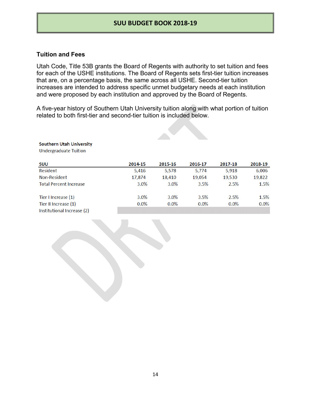#### **Tuition and Fees**

Utah Code, Title 53B grants the Board of Regents with authority to set tuition and fees for each of the USHE institutions. The Board of Regents sets first-tier tuition increases that are, on a percentage basis, the same across all USHE. Second-tier tuition increases are intended to address specific unmet budgetary needs at each institution and were proposed by each institution and approved by the Board of Regents.

A five-year history of Southern Utah University tuition along with what portion of tuition related to both first-tier and second-tier tuition is included below.

#### **Southern Utah University**

**Undergraduate Tuition** 

| SUU                           | 2014-15 | 2015-16 | 2016-17 | 2017-18 | 2018-19 |
|-------------------------------|---------|---------|---------|---------|---------|
| Resident                      | 5,416   | 5,578   | 5.774   | 5,918   | 6,006   |
| <b>Non-Resident</b>           | 17,874  | 18,410  | 19.054  | 19,530  | 19,822  |
| <b>Total Percent Increase</b> | 3.0%    | 3.0%    | 3.5%    | 2.5%    | 1.5%    |
| Tier I Increase (1)           | 3.0%    | 3.0%    | 3.5%    | 2.5%    | 1.5%    |
| Tier II Increase (1)          | $0.0\%$ | $0.0\%$ | $0.0\%$ | $0.0\%$ | $0.0\%$ |
| Institutional Increase (2)    |         |         |         |         |         |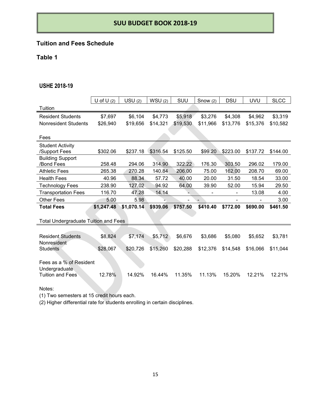## **Tuition and Fees Schedule**

#### **Table 1**

#### **USHE 2018-19**

|                                             | U of U $(2)$ | USU(2)     | WSU(2)   | SUU      | Snow $(2)$ | <b>DSU</b> | <b>UVU</b> | <b>SLCC</b> |
|---------------------------------------------|--------------|------------|----------|----------|------------|------------|------------|-------------|
| Tuition                                     |              |            |          |          |            |            |            |             |
| <b>Resident Students</b>                    | \$7,697      | \$6,104    | \$4,773  | \$5,918  | \$3,276    | \$4,308    | \$4,962    | \$3,319     |
| <b>Nonresident Students</b>                 | \$26,940     | \$19,656   | \$14,321 | \$19,530 | \$11,966   | \$13,776   | \$15,376   | \$10,582    |
|                                             |              |            |          |          |            |            |            |             |
| Fees                                        |              |            |          |          |            |            |            |             |
| <b>Student Activity</b>                     |              |            |          |          |            |            |            |             |
| /Support Fees                               | \$302.06     | \$237.18   | \$316.54 | \$125.50 | \$99.20    | \$223.00   | \$137.72   | \$144.00    |
| <b>Building Support</b>                     |              |            |          |          |            |            |            |             |
| /Bond Fees                                  | 258.48       | 294.06     | 314.90   | 322.22   | 176.30     | 303.50     | 296.02     | 179.00      |
| <b>Athletic Fees</b>                        | 265.38       | 270.28     | 140.84   | 206.00   | 75.00      | 162.00     | 208.70     | 69.00       |
| <b>Health Fees</b>                          | 40.96        | 88.34      | 57.72    | 40.00    | 20.00      | 31.50      | 18.54      | 33.00       |
| <b>Technology Fees</b>                      | 238.90       | 127.02     | 94.92    | 64.00    | 39.90      | 52.00      | 15.94      | 29.50       |
| <b>Transportation Fees</b>                  | 116.70       | 47.28      | 14.14    |          |            |            | 13.08      | 4.00        |
| <b>Other Fees</b>                           | 5.00         | 5.98       |          |          |            |            |            | 3.00        |
| <b>Total Fees</b>                           | \$1,247.48   | \$1,070.14 | \$939.06 | \$757.50 | \$410.40   | \$772.00   | \$690.00   | \$461.50    |
|                                             |              |            |          |          |            |            |            |             |
| <b>Total Undergraduate Tuition and Fees</b> |              |            |          |          |            |            |            |             |
|                                             |              |            |          |          |            |            |            |             |
| <b>Resident Students</b>                    | \$8,824      | \$7,174    | \$5,712  | \$6,676  | \$3,686    | \$5,080    | \$5,652    | \$3,781     |
| Nonresident                                 |              |            |          |          |            |            |            |             |
| <b>Students</b>                             | \$28,067     | \$20,726   | \$15,260 | \$20,288 | \$12,376   | \$14,548   | \$16,066   | \$11,044    |
|                                             |              |            |          |          |            |            |            |             |
| Fees as a % of Resident                     |              |            |          |          |            |            |            |             |
| Undergraduate                               |              |            |          |          |            |            |            |             |
| <b>Tuition and Fees</b>                     | 12.78%       | 14.92%     | 16.44%   | 11.35%   | 11.13%     | 15.20%     | 12.21%     | 12.21%      |
|                                             |              |            |          |          |            |            |            |             |

Notes:

(1) Two semesters at 15 credit hours each.

(2) Higher differential rate for students enrolling in certain disciplines.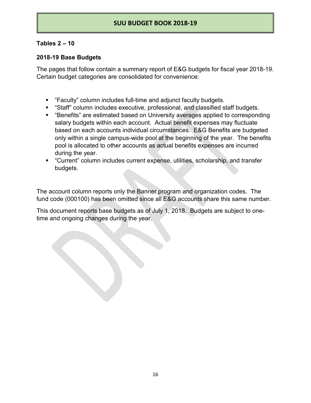#### **Tables 2 – 10**

#### **2018-19 Base Budgets**

The pages that follow contain a summary report of E&G budgets for fiscal year 2018-19. Certain budget categories are consolidated for convenience:

- "Faculty" column includes full-time and adjunct faculty budgets.
- **EXT** "Staff" column includes executive, professional, and classified staff budgets.
- "Benefits" are estimated based on University averages applied to corresponding salary budgets within each account. Actual benefit expenses may fluctuate based on each accounts individual circumstances. E&G Benefits are budgeted only within a single campus-wide pool at the beginning of the year. The benefits pool is allocated to other accounts as actual benefits expenses are incurred during the year.
- "Current" column includes current expense, utilities, scholarship, and transfer budgets.

The account column reports only the Banner program and organization codes. The fund code (000100) has been omitted since all E&G accounts share this same number.

This document reports base budgets as of July 1, 2018. Budgets are subject to onetime and ongoing changes during the year.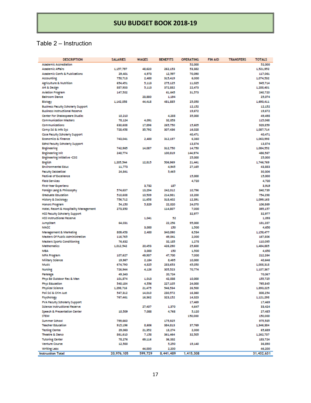## Table 2 – Instruction

| <b>DESCRIPTION</b>                                               | <b>SALARIES</b>    | <b>WAGES</b>     | <b>BENEFITS</b>    | <b>OPERATING</b> | <b>FIN AID</b> | <b>TRANSFERS</b> | <b>TOTALS</b>        |
|------------------------------------------------------------------|--------------------|------------------|--------------------|------------------|----------------|------------------|----------------------|
| <b>Academic Accrediation</b>                                     |                    |                  |                    | 52,000           |                |                  | 52,000               |
| <b>Academic Afrairs</b>                                          | 1,157,797          | 48,620           | 262,153            | 53,382           |                |                  | 1,521,952            |
| <b>Academic Confs &amp; Publications</b>                         | 29,401             | 4,973            | 12,597             | 70,090           |                |                  | 117,061              |
| <b>Accounting</b>                                                | 750,713            | 2,400            | 315,419            | 6,000            |                |                  | 1,074,532            |
| <b>Agriculture &amp; Nutrition</b>                               | 654,451            | 5.113            | 275.125            | 11,025           |                |                  | 945,714              |
| Art & Design                                                     | 887,933            | 5,113            | 372,882            | 22,473           |                |                  | 1,288,401            |
| <b>Aviation Program</b>                                          | 147,502            |                  | 61,645             | 31,573           |                |                  | 240,720              |
| <b>Ballroom Dance</b>                                            |                    | 23,880           | 1.194              |                  |                |                  | 25,074               |
| Biology                                                          | 1,142,058          | 44,418           | 481,885            | 25,050           |                |                  | 1,693,411            |
| <b>Business Faculty Scholarly Support</b>                        |                    |                  |                    | 12,152           |                |                  | 12.152               |
| <b>Business Instructional Reserve</b>                            |                    |                  |                    | 19,672           |                |                  | 19,672               |
| Center For Shakespeare Studie:                                   | 10,210             |                  | 4,288              | 35,000           |                |                  | 49,498               |
| <b>Communication Masters</b>                                     | 78,124             | 4,091            | 32,853             |                  |                |                  | 115,068              |
| Communications<br>Comp Sci & Info Sys                            | 630,608<br>728,458 | 17,896<br>35,792 | 265,750<br>307,436 | 15,605<br>16,028 |                |                  | 929,859<br>1,087,714 |
|                                                                  |                    |                  |                    |                  |                |                  | 40,471               |
| Cose Faculty Scholarly Support<br><b>Economics &amp; Finance</b> | 743,041            | 2,400            | 312,197            | 40,471<br>6,360  |                |                  | 1,063,998            |
| <b>Edhd Faculty Scholarly Support</b>                            |                    |                  |                    | 13,874           |                |                  | 13,874               |
| <b>Engineering</b>                                               | 742,965            | 14,087           | 312,750            | 14,750           |                |                  | 1,084,552            |
| <b>Engineering Init</b>                                          | 240,774            |                  | 100,819            | 144,974          |                |                  | 486,567              |
| <b>Engineering Initiative -CSIS</b>                              |                    |                  |                    | 25,000           |                |                  | 25,000               |
| English                                                          | 1,205,544          | 12,815           | 506,969            | 21,441           |                |                  | 1,746,769            |
| <b>Environmental Educ</b>                                        | 11,773             |                  | 4,945              | 27,165           |                |                  | 43,883               |
| <b>Faculty Sabbatical</b>                                        | 24,841             |                  | 5,465              |                  |                |                  | 30,306               |
| <b>Festival of Excellence</b>                                    |                    |                  |                    | 15,000           |                |                  | 15,000               |
| <b>Field Services</b>                                            |                    |                  |                    | 4,720            |                |                  | 4,720                |
| First-Year Experieno                                             |                    | 3,732            | 187                |                  |                |                  | 3,919                |
| Foreign Lang & Philosophy                                        | 574,637            | 13,294           | 242,012            | 10,796           |                |                  | 840,739              |
| <b>Graduate Education</b>                                        | 510,608            | 10,509           | 214,981            | 18,200           |                |                  | 754,298              |
| <b>History &amp; Sociology</b>                                   | 756,712            | 11,638           | 318,402            | 12,391           |                |                  | 1,099,163            |
| <b>Honors Program</b>                                            | 54,150             | 5,829            | 22,820             | 24,070           |                |                  | 106,869              |
| Hotel, Resort & Hospitality Management                           | 273,350            |                  | 114,807            | 7,000            |                |                  | 395,157              |
| <b>HISS Faculty Scholarly Support</b>                            |                    |                  |                    | 32,977           |                |                  | 32,977               |
| <b>HSS Instructional Reserve</b>                                 |                    | 1,041            | 52                 |                  |                |                  | 1,093                |
| <b>JumpStart</b>                                                 | 64.031             |                  | 22,256             | 95,000           |                |                  | 181,287              |
| MACC                                                             |                    | 3,000            | 150                | 1,500            |                |                  | 4,650                |
| Management & Marketing                                           | 809,453            | 2,400            | 340,090            | 6,534            |                |                  | 1,158,477            |
| <b>Masters Of Public Administration</b>                          | 116,765            |                  | 49,041             | 2,000            |                |                  | 167,806              |
| <b>Masters Sports Conditioning</b>                               | 76,632             |                  | 32,185             | 1,278            |                |                  | 110,095              |
| <b>Mathematics</b>                                               | 1,012,542          | 20,453           | 426,290            | 25,600           |                |                  | 1,484,885            |
| <b>MBA</b><br><b>MFA Program</b>                                 | 107,627            | 3,000<br>49,937  | 150<br>47,700      | 1,500<br>7,000   |                |                  | 4,650<br>212,264     |
| Military Science                                                 | 19,967             | 2,184            | 8,495              | 10,000           |                |                  | 40,646               |
| Music                                                            | 674,790            | 4,825            | 283,653            | 45,050           |                |                  | 1,008,318            |
| <b>Nursing</b>                                                   | 726,944            | 4,126            | 305,523            | 70,774           |                |                  | 1,107,367            |
| Paralega                                                         | 49.343             |                  | 20,724             |                  |                |                  | 70,067               |
| Phys Ed Outdoor Rec & Man                                        | 101,874            | 1,013            | 42,838             | 10,000           |                |                  | 135,725              |
| <b>Phys Education</b>                                            | 540,184            | 4,556            | 227,105            | 24,000           |                |                  | 795,845              |
| <b>Physical Science</b>                                          | 1,298,716          | 21,475           | 546,534            | 26,500           |                |                  | 1,893,225            |
| Poli Sci & Crim Just                                             | 547,312            | 14,010           | 230,572            | 16,360           |                |                  | 808,254              |
| Psychology                                                       | 767,461            | 16,362           | 323,152            | 14,323           |                |                  | 1,121,298            |
| <b>PVA Faculty Scholarly Support</b>                             |                    |                  |                    | 17,469           |                |                  | 17,469               |
| Science Instructional Reserve                                    |                    | 27,407           | 1,370              | 4,647            |                |                  | 33,424               |
| <b>Speech &amp; Presentation Center</b>                          | 10,509             | 7,088            | 4,768              | 5,120            |                |                  | 27,485               |
| <b>STEM</b>                                                      |                    |                  |                    | 150,000          |                |                  | 150,000              |
| Summer School                                                    | 799,660            |                  | 175,925            |                  |                |                  | 975,585              |
| <b>Teacher Education</b>                                         | 915,196            | 8,606            | 384,813            | 37,769           |                |                  | 1,346,384            |
| <b>Testing Center</b>                                            | 29,063             | 21,352           | 13,274             | 2,000            |                |                  | 65,689               |
| <b>Theatre &amp; Dance</b>                                       | 861,610            | 7,158            | 361,464            | 32,505           |                |                  | 1,262,737            |
| <b>Tutoring Center</b>                                           | 78,276             | 69,116           | 36,332             |                  |                |                  | 183,724              |
| <b>Venture Course</b>                                            | 12,500             |                  | 5,250              | 19,140           |                |                  | 36,890               |
| <b>Writing Labs</b>                                              |                    | 44,000           | 2,200              |                  |                |                  | 46,200               |
| <b>Instruction Total</b>                                         | 20,976,105         | 599.729          | 8,441,489          | 1,415,308        |                |                  | 31,432,631           |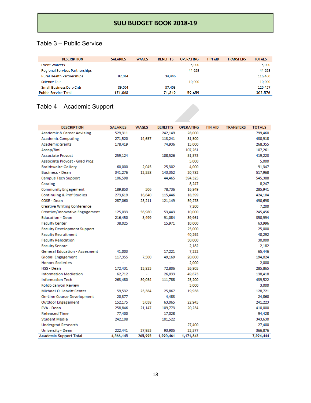## Table 3 – Public Service

| <b>DESCRIPTION</b>                    | <b>SALARIES</b> | <b>WAGES</b> | <b>BENFEITS</b> | <b>OPERATING</b> | <b>FIN AID</b> | <b>TRANSFFRS</b> | <b>TOTALS</b> |
|---------------------------------------|-----------------|--------------|-----------------|------------------|----------------|------------------|---------------|
| <b>Event Waivers</b>                  |                 |              |                 | 5,000            |                |                  | 5,000         |
| <b>Regional Services Partnerships</b> |                 |              |                 | 44,659           |                |                  | 44,659        |
| <b>Rural Health Partnerships</b>      | 82,014          |              | 34,446          |                  |                |                  | 116,460       |
| Science Fair                          |                 |              |                 | 10,000           |                |                  | 10,000        |
| <b>Small Business Dvlp Cntr</b>       | 89,054          |              | 37,403          |                  |                |                  | 126,457       |
| <b>Public Service Total</b>           | 171,068         |              | 71,849          | 59,659           |                |                  | 302,576       |

## Table 4 – Academic Support

| <b>DESCRIPTION</b>                    | <b>SALARIES</b> | <b>WAGES</b> | <b>BENEFITS</b> | <b>OPERATING</b> | <b>FIN AID</b> | <b>TRANSFERS</b> | <b>TOTALS</b> |
|---------------------------------------|-----------------|--------------|-----------------|------------------|----------------|------------------|---------------|
| <b>Academic &amp; Career Advising</b> | 529,311         |              | 242,149         | 28,000           |                |                  | 799,460       |
| <b>Academic Computing</b>             | 271,520         | 14,657       | 113,241         | 31,500           |                |                  | 430,918       |
| <b>Academic Grants</b>                | 178,419         |              | 74,936          | 15,000           |                |                  | 268,355       |
| Ascap/Bmi                             |                 |              |                 | 107,261          |                |                  | 107,261       |
| <b>Associate Provost</b>              | 259,124         |              | 108,526         | 51,573           |                |                  | 419,223       |
| Associate Provost - Grad Prog         |                 |              |                 | 5,000            |                |                  | 5,000         |
| <b>Braithwaite Gallery</b>            | 60,000          | 2.045        | 25,302          | 4,000            |                |                  | 91,347        |
| <b>Business - Dean</b>                | 341,276         | 12,558       | 143,352         | 20,782           |                |                  | 517,968       |
| Campus Tech Support                   | 106,598         |              | 44.465          | 394,325          |                |                  | 545,388       |
| Catalog                               |                 |              |                 | 8,247            |                |                  | 8,247         |
| <b>Community Engagement</b>           | 189,850         | 506          | 78,736          | 16,849           |                |                  | 285,941       |
| Continuing & Prof Studies             | 273,619         | 16,640       | 115,446         | 18,399           |                |                  | 424,104       |
| COSE - Dean                           | 287,060         | 23,211       | 121,149         | 59,278           |                |                  | 490,698       |
| <b>Creative Writing Conference</b>    |                 |              |                 | 7,200            |                |                  | 7,200         |
| <b>Creative/Innovative Engagement</b> | 125,033         | 56,980       | 53,443          | 10,000           |                |                  | 245,456       |
| <b>Education - Dean</b>               | 216,450         | 3,499        | 91,084          | 39,961           |                |                  | 350,994       |
| <b>Faculty Center</b>                 | 38,025          |              | 15,971          | 10,000           |                |                  | 63,996        |
| <b>Faculty Development Support</b>    |                 |              |                 | 25,000           |                |                  | 25,000        |
| <b>Faculty Recruitment</b>            |                 |              |                 | 40,292           |                |                  | 40,292        |
| <b>Faculty Relocation</b>             |                 |              |                 | 30,000           |                |                  | 30,000        |
| <b>Faculty Senate</b>                 |                 |              |                 | 2,182            |                |                  | 2,182         |
| <b>General Education - Assesment</b>  | 41,003          |              | 17,221          | 7,222            |                |                  | 65,446        |
| <b>Global Engagement</b>              | 117,355         | 7.500        | 49,169          | 20,000           |                |                  | 194,024       |
| <b>Honors Societies</b>               | ÷,              |              |                 | 2,000            |                |                  | 2,000         |
| <b>HSS - Dean</b>                     | 172.431         | 13,823       | 72,806          | 26,805           |                |                  | 285,865       |
| <b>Information Mediation</b>          | 62,712          | ÷.           | 26,033          | 49,673           |                |                  | 138,418       |
| <b>Information Tech</b>               | 263,480         | 39,054       | 111,788         | 25,200           |                |                  | 439,522       |
| Kolob canyon Review                   |                 |              |                 | 3,000            |                |                  | 3,000         |
| Michael O. Leavitt Center             | 59,532          | 23,384       | 25,867          | 19,938           |                |                  | 128,721       |
| On-Line Course Development            | 20,377          |              | 4,483           |                  |                |                  | 24,860        |
| <b>Outdoor Engagement</b>             | 152,175         | 3,038        | 63,065          | 22,945           |                |                  | 241,223       |
| PVA - Dean                            | 258,846         | 21,147       | 109,773         | 20,234           |                |                  | 410,000       |
| <b>Released Time</b>                  | 77,400          |              | 17,028          |                  |                |                  | 94,428        |
| <b>Student Media</b>                  | 242,108         |              | 101,522         |                  |                |                  | 343,630       |
| <b>Undergrad Research</b>             |                 |              |                 | 27,400           |                |                  | 27,400        |
| University - Dean                     | 222,441         | 27,953       | 93,905          | 22,577           |                |                  | 366,876       |
| <b>Academic Support Total</b>         | 4,566,145       | 265,995      | 1,920,461       | 1,171,843        |                |                  | 7,924,444     |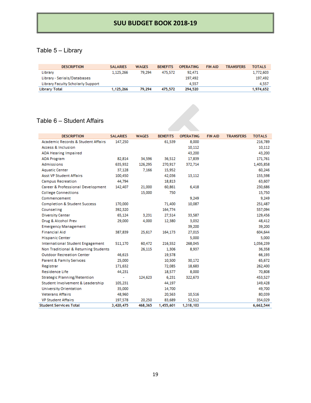## Table 5 – Library

| <b>DESCRIPTION</b>                | <b>SALARIES</b> | <b>WAGES</b> | <b>BENEFITS</b> | <b>OPERATING</b> | <b>FIN AID</b> | <b>TRANSFERS</b> | <b>TOTALS</b> |
|-----------------------------------|-----------------|--------------|-----------------|------------------|----------------|------------------|---------------|
| Library                           | 1.125.266       | 79.294       | 475.572         | 92.471           |                |                  | 1,772,603     |
| Library - Serials/Databases       |                 |              |                 | 197.492          |                |                  | 197.492       |
| Library Faculty Scholarly Support |                 |              |                 | 4.557            |                |                  | 4.557         |
| Library Total                     | 1,125,266       | 79.294       | 475,572         | 294,520          |                |                  | 1,974,652     |

#### Table 6 – Student Affairs

| <b>DESCRIPTION</b>                            | <b>SALARIES</b> | <b>WAGES</b> | <b>BENEFITS</b> | <b>OPERATING</b> | <b>FIN AID</b> | <b>TRANSFERS</b> | <b>TOTALS</b> |
|-----------------------------------------------|-----------------|--------------|-----------------|------------------|----------------|------------------|---------------|
| <b>Academic Records &amp; Student Affairs</b> | 147,250         |              | 61,539          | 8,000            |                |                  | 216,789       |
| Access & Inclusion                            |                 |              |                 | 10,112           |                |                  | 10,112        |
| <b>ADA Hearing Impaired</b>                   |                 |              |                 | 43,200           |                |                  | 43,200        |
| <b>ADA Program</b>                            | 82,814          | 34.596       | 36,512          | 17,839           |                |                  | 171,761       |
| Admissions                                    | 635,932         | 126,295      | 270,917         | 372,714          |                |                  | 1,405,858     |
| <b>Aquatic Center</b>                         | 37,128          | 7.166        | 15,952          |                  |                |                  | 60,246        |
| <b>Asst VP Student Affairs</b>                | 100,450         |              | 42,036          | 13,112           |                |                  | 155,598       |
| <b>Campus Recreation</b>                      | 44,794          |              | 18,813          |                  |                |                  | 63,607        |
| Career & Professional Development             | 142,407         | 21,000       | 60,861          | 6,418            |                |                  | 230,686       |
| <b>College Connections</b>                    |                 | 15,000       | 750             |                  |                |                  | 15,750        |
| Commencement                                  |                 |              |                 | 9,249            |                |                  | 9,249         |
| <b>Completion &amp; Student Success</b>       | 170,000         |              | 71,400          | 10.087           |                |                  | 251,487       |
| Counseling                                    | 392,320         |              | 164,774         |                  |                |                  | 557,094       |
| <b>Diversity Center</b>                       | 65,124          | 3,231        | 27,514          | 33,587           |                |                  | 129,456       |
| Drug & Alcohol Prev                           | 29,000          | 4,000        | 12,380          | 3,032            |                |                  | 48,412        |
| <b>Emergency Management</b>                   |                 |              |                 | 39,200           |                |                  | 39,200        |
| <b>Financial Aid</b>                          | 387,839         | 25,617       | 164,173         | 27,015           |                |                  | 604,644       |
| <b>Hispanic Center</b>                        |                 |              |                 | 5,000            |                |                  | 5,000         |
| <b>International Student Engagement</b>       | 511,170         | 60,472       | 216.552         | 268,045          |                |                  | 1,056,239     |
| Non Traditional & Returning Students          |                 | 26.115       | 1.306           | 8.937            |                |                  | 36,358        |
| <b>Outdoor Recreation Center</b>              | 46,615          |              | 19,578          |                  |                |                  | 66,193        |
| <b>Parent &amp; Family Serivces</b>           | 25,000          |              | 10,500          | 30,172           |                |                  | 65,672        |
| Registrar                                     | 171,632         |              | 72,085          | 18,683           |                |                  | 262,400       |
| Residence Life                                | 44,231          |              | 18,577          | 8,000            |                |                  | 70,808        |
| <b>Strategic Planning/Retention</b>           | $\blacksquare$  | 124,623      | 6.231           | 322,673          |                |                  | 453,527       |
| Student Involvement & Leadership              | 105,231         |              | 44,197          |                  |                |                  | 149,428       |
| <b>University Orientation</b>                 | 35,000          |              | 14,700          |                  |                |                  | 49,700        |
| <b>Veterans Affairs</b>                       | 48,960          |              | 20,563          | 10,516           |                |                  | 80,039        |
| <b>VP Student Affairs</b>                     | 197,578         | 20,250       | 83,689          | 52,512           |                |                  | 354,029       |
| <b>Student Services Total</b>                 | 3,420,475       | 468,365      | 1,455,601       | 1,318,103        |                |                  | 6,662,544     |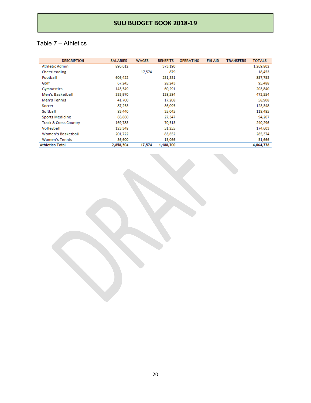## Table 7 – Athletics

| <b>DESCRIPTION</b>               | <b>SALARIES</b> | <b>WAGES</b> | <b>BENEFITS</b> | <b>OPERATING</b> | <b>FIN AID</b> | <b>TRANSFERS</b> | <b>TOTALS</b> |
|----------------------------------|-----------------|--------------|-----------------|------------------|----------------|------------------|---------------|
| Athletic Admin                   | 896,612         |              | 373,190         |                  |                |                  | 1,269,802     |
| Cheerleading                     |                 | 17,574       | 879             |                  |                |                  | 18,453        |
| Football                         | 606,422         |              | 251,331         |                  |                |                  | 857,753       |
| Golf                             | 67,245          |              | 28,243          |                  |                |                  | 95,488        |
| Gymnastics                       | 143,549         |              | 60,291          |                  |                |                  | 203,840       |
| Men's Basketball                 | 333,970         |              | 138,584         |                  |                |                  | 472,554       |
| Men's Tennis                     | 41,700          |              | 17,208          |                  |                |                  | 58,908        |
| Soccer                           | 87,253          |              | 36,095          |                  |                |                  | 123,348       |
| Softball                         | 83,440          |              | 35,045          |                  |                |                  | 118,485       |
| Sports Medicine                  | 66,860          |              | 27,347          |                  |                |                  | 94,207        |
| <b>Track &amp; Cross Country</b> | 169,783         |              | 70,513          |                  |                |                  | 240,296       |
| Volleyball                       | 123,348         |              | 51,255          |                  |                |                  | 174,603       |
| Women's Basketball               | 201,722         |              | 83,652          |                  |                |                  | 285,374       |
| <b>Women's Tennis</b>            | 36,600          |              | 15,066          |                  |                |                  | 51,666        |
| <b>Athletics Total</b>           | 2,858,504       | 17,574       | 1,188,700       |                  |                |                  | 4,064,778     |

20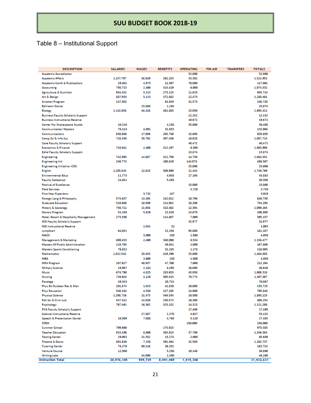## Table 8 – Institutional Support

| <b>DESCRIPTION</b>                               | <b>SALARIES</b>      | <b>WAGES</b>    | <b>BENEFITS</b>    | <b>OPERATING</b>  | <b>FIN AID</b> | <b>TRANSFERS</b> | <b>TOTALS</b>        |
|--------------------------------------------------|----------------------|-----------------|--------------------|-------------------|----------------|------------------|----------------------|
| <b>Academic Accrediation</b>                     |                      |                 |                    | 52,000            |                |                  | 52.000               |
| <b>Academic Affairs</b>                          | 1,157,797            | 48,620          | 262.153            | 53,382            |                |                  | 1,521,952            |
| <b>Academic Confs &amp; Publications</b>         | 29,401               | 4.973           | 12.597             | 70,090            |                |                  | 117,061              |
| Accounting                                       | 750,713              | 2,400           | 315,419            | 6.000             |                |                  | 1,074,532            |
| <b>Agriculture &amp; Nutrition</b>               | 654,451              | 5.113           | 275,125            | 11,025            |                |                  | 945,714              |
| Art & Design                                     | 887,933              | 5.113           | 372,882            | 22,473            |                |                  | 1,288,401            |
| <b>Aviation Program</b>                          | 147.502              |                 | 61.645             | 31,573            |                |                  | 240,720              |
| <b>Ballroom Dance</b>                            |                      | 23,880          | 1,194              |                   |                |                  | 25,074               |
| Biology                                          | 1,142,058            | 44,418          | 481,885            | 25,050            |                |                  | 1,693,411            |
| <b>Business Faculty Scholarly Support</b>        |                      |                 |                    | 12,152            |                |                  | 12.152               |
| <b>Business Instructional Reserve</b>            |                      |                 |                    | 19,672            |                |                  | 19,672               |
| Center For Shakespeare Studie:                   | 10,210               |                 | 4,288              | 35,000            |                |                  | 49,498               |
| <b>Communication Masters</b>                     | 78.124               | 4.091           | 32,853             |                   |                |                  | 115,068              |
| Communications                                   | 630.608              | 17,896          | 265.750            | 15.605            |                |                  | 929,859              |
| Comp Sci & Info Sys                              | 728,458              | 35,792          | 307,436            | 16,028            |                |                  | 1,087,714            |
| <b>Cose Faculty Scholarly Support</b>            |                      |                 |                    | 40,471            |                |                  | 40.471               |
| <b>Economics &amp; Finance</b>                   | 743,041              | 2,400           | 312.197            | 6.360<br>13,874   |                |                  | 1.063.998<br>13,874  |
| <b>Edhd Faculty Scholarly Support</b>            | 742.965              |                 | 312.750            |                   |                |                  |                      |
| <b>Engineering</b><br><b>Engineering Init</b>    | 240.774              | 14,087          | 100,819            | 14,750<br>144,974 |                |                  | 1,084,552<br>486.567 |
| <b>Engineering Initiative -CSIS</b>              |                      |                 |                    | 25,000            |                |                  | 25.000               |
| English                                          | 1.205.544            | 12.815          | 506,969            | 21,441            |                |                  | 1,746,769            |
| <b>Environmental Educ</b>                        | 11.773               |                 | 4,945              | 27,165            |                |                  | 43,883               |
| <b>Faculty Sabbatical</b>                        | 24,841               |                 | 5,465              |                   |                |                  | 30.306               |
| <b>Festival of Excellence</b>                    |                      |                 |                    | 15,000            |                |                  | 15,000               |
| <b>Field Services</b>                            |                      |                 |                    | 4.720             |                |                  | 4,720                |
| <b>First-Year Experience</b>                     |                      | 3.732           | 187                |                   |                |                  | 3,919                |
| Foreign Lang & Philosophy                        | 574,637              | 13,294          | 242,012            | 10,796            |                |                  | 840,739              |
| <b>Graduate Education</b>                        | 510,608              | 10,509          | 214,981            | 18,200            |                |                  | 754,298              |
| <b>History &amp; Sociology</b>                   | 756,712              | 11,658          | 318,402            | 12,391            |                |                  | 1.099.163            |
| <b>Honors Program</b>                            | 54.150               | 5,829           | 22,820             | 24,070            |                |                  | 106,869              |
| Hotel, Resort & Hospitality Management           | 273,350              |                 | 114,807            | 7,000             |                |                  | 395,157              |
| <b>HSS Faculty Scholarly Support</b>             |                      |                 |                    | 32,977            |                |                  | 32.977               |
| <b>HSS Instructional Reserve</b>                 |                      | 1.041           | 52                 |                   |                |                  | 1.093                |
| <b>JumpStart</b>                                 | 64.031               |                 | 22.256             | 95,000            |                |                  | 181,287              |
| <b>MACC</b>                                      |                      | 3.000           | 150                | 1.500             |                |                  | 4.650                |
| <b>Management &amp; Marketing</b>                | 809.453              | 2,400           | 340.090            | 6.534             |                |                  | 1.158.477            |
| <b>Masters Of Public Administration</b>          | 116,765              |                 | 49,041             | 2,000             |                |                  | 167,806              |
| <b>Masters Sports Conditioning</b>               | 76.632               |                 | 32.185             | 1,278             |                |                  | 110,095              |
| <b>Mathematics</b>                               | 1.012.542            | 20.453          | 426,290            | 25,600            |                |                  | 1.484.885            |
| <b>MBA</b>                                       |                      | 3.000           | 150                | 1.500             |                |                  | 4.650                |
| <b>MFA Program</b>                               | 107,627              | 49,937          | 47.700             | 7,000             |                |                  | 212.264              |
| <b>Military Science</b>                          | 19.967               | 2.184           | 8,495              | 10,000            |                |                  | 40.646               |
| Music                                            | 674,790              | 4.825           | 283,653            | 45,050            |                |                  | 1,008,318            |
| <b>Nursing</b>                                   | 726,944              | 4.126           | 305.523            | 70,774            |                |                  | 1.107.367            |
| Paralega                                         | 49,343               |                 | 20,724             |                   |                |                  | 70,067               |
| Phys Ed Outdoor Rec & Man                        | 101,874              | 1,013           | 42.838             | 10,000            |                |                  | 155.725              |
| <b>Phys Education</b><br><b>Physical Science</b> | 540.184<br>1,298,716 | 4.556<br>21,475 | 227,105<br>546,534 | 24,000<br>26,500  |                |                  | 795,845<br>1,893,225 |
| Poli Sci & Crim Just                             | 547,312              | 14,010          | 230,572            | 16,360            |                |                  | 808,254              |
| Psychology                                       | 767,461              | 16,362          | 323,152            | 14,323            |                |                  | 1,121,298            |
| <b>PVA Faculty Scholarly Support</b>             |                      |                 |                    | 17,469            |                |                  | 17,469               |
| <b>Science Instructional Reserve</b>             |                      | 27,407          | 1,370              | 4,647             |                |                  | 33,424               |
| Speech & Presentation Center                     | 10,509               | 7,088           | 4,768              | 5,120             |                |                  | 27,485               |
| <b>STEM</b>                                      |                      |                 |                    | 150,000           |                |                  | 150,000              |
| <b>Summer School</b>                             | 799,660              |                 | 175,925            |                   |                |                  | 975,585              |
| <b>Teacher Education</b>                         | 915,196              | 8,606           | 384,813            | 37,769            |                |                  | 1.346.384            |
| <b>Testing Center</b>                            | 29,063               | 21,352          | 13,274             | 2,000             |                |                  | 65,689               |
| Theatre & Dance                                  | 861.610              | 7,158           | 361,464            | 32,505            |                |                  | 1,262,737            |
| <b>Tutoring Center</b>                           | 78,276               | 69,116          | 36,332             |                   |                |                  | 183,724              |
| <b>Venture Course</b>                            | 12,500               |                 | 5,250              | 19,140            |                |                  | 36,890               |
| <b>Writing Labs</b>                              |                      | 44,000          | 2,200              |                   |                |                  | 46,200               |
| <b>Instruction Total</b>                         | 20,976,105           | 599,729         | 8,441,489          | 1,415,308         |                |                  | 31,432,631           |